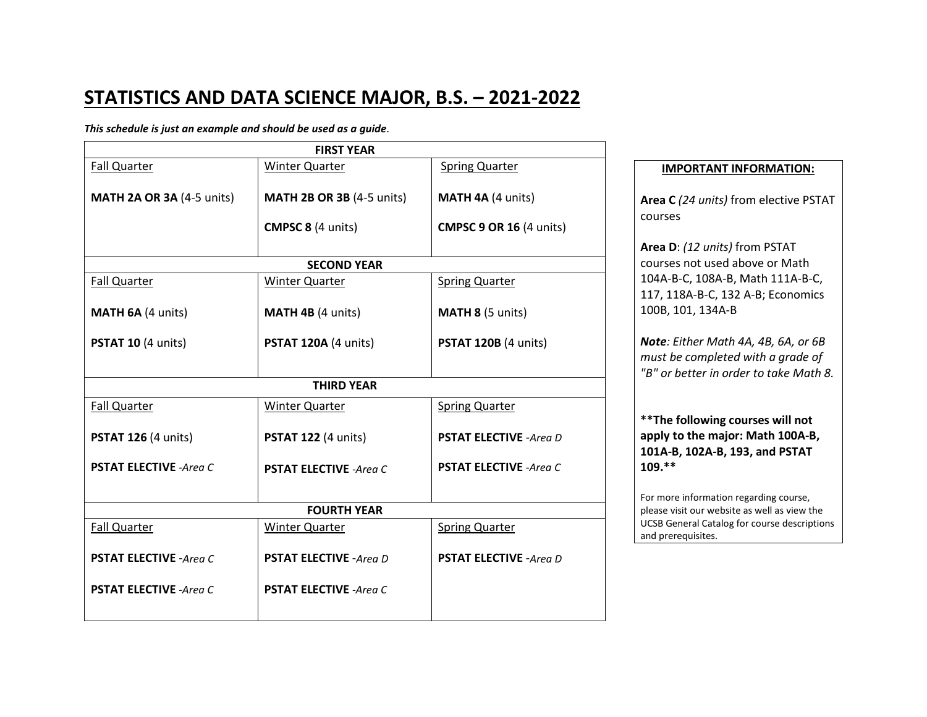## **STATISTICS AND DATA SCIENCE MAJOR, B.S. – 2021-2022**

## *This schedule is just an example and should be used as a guide*.

| <b>FIRST YEAR</b>                |                                  |                                |  |
|----------------------------------|----------------------------------|--------------------------------|--|
| <b>Fall Quarter</b>              | <b>Winter Quarter</b>            | <b>Spring Quarter</b>          |  |
| <b>MATH 2A OR 3A (4-5 units)</b> | <b>MATH 2B OR 3B (4-5 units)</b> | MATH 4A (4 units)              |  |
|                                  | <b>CMPSC 8 (4 units)</b>         | <b>CMPSC 9 OR 16 (4 units)</b> |  |
| <b>SECOND YEAR</b>               |                                  |                                |  |
| <b>Fall Quarter</b>              | <b>Winter Quarter</b>            | <b>Spring Quarter</b>          |  |
| MATH 6A (4 units)                | MATH 4B (4 units)                | MATH 8 (5 units)               |  |
| PSTAT 10 (4 units)               | <b>PSTAT 120A (4 units)</b>      | <b>PSTAT 120B (4 units)</b>    |  |
|                                  |                                  |                                |  |
| <b>THIRD YEAR</b>                |                                  |                                |  |
| <b>Fall Quarter</b>              | <b>Winter Quarter</b>            | <b>Spring Quarter</b>          |  |
| <b>PSTAT 126 (4 units)</b>       | <b>PSTAT 122 (4 units)</b>       | <b>PSTAT ELECTIVE -Area D</b>  |  |
| <b>PSTAT ELECTIVE -Area C</b>    | <b>PSTAT ELECTIVE -Area C</b>    | <b>PSTAT ELECTIVE -Area C</b>  |  |
|                                  |                                  |                                |  |
| <b>FOURTH YEAR</b>               |                                  |                                |  |
| <b>Fall Quarter</b>              | <b>Winter Quarter</b>            | <b>Spring Quarter</b>          |  |
| <b>PSTAT ELECTIVE -Area C</b>    | <b>PSTAT ELECTIVE - Area D</b>   | <b>PSTAT ELECTIVE -Area D</b>  |  |
| <b>PSTAT ELECTIVE -Area C</b>    | <b>PSTAT ELECTIVE -Area C</b>    |                                |  |
|                                  |                                  |                                |  |

## **IMPORTANT INFORMATION:**

**Area C** *(24 units)* from elective PSTAT courses

**Area D**: *(12 units)* from PSTAT courses not used above or Math 104A-B-C, 108A-B, Math 111A-B-C, 117, 118A-B-C, 132 A-B; Economics 100B, 101, 134A-B

*Note: Either Math 4A, 4B, 6A, or 6B must be completed with a grade of "B" or better in order to take Math 8.*

**\*\*The following courses will not apply to the major: Math 100A-B, 101A-B, 102A-B, 193, and PSTAT 109.\*\***

For more information regarding course, please visit our website as well as view the UCSB General Catalog for course descriptions and prerequisites.